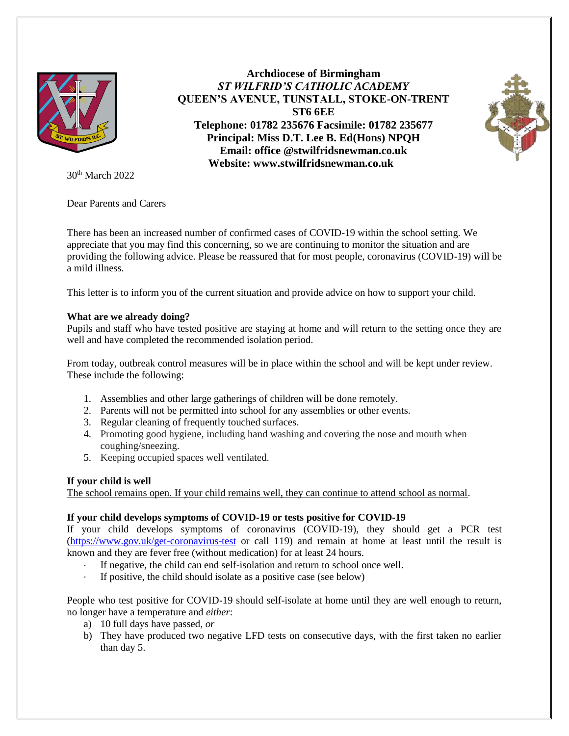

30th March 2022

Dear Parents and Carers

There has been an increased number of confirmed cases of COVID-19 within the school setting. We appreciate that you may find this concerning, so we are continuing to monitor the situation and are providing the following advice. Please be reassured that for most people, coronavirus (COVID-19) will be a mild illness.

**Archdiocese of Birmingham** *ST WILFRID'S CATHOLIC ACADEMY*  **QUEEN'S AVENUE, TUNSTALL, STOKE-ON-TRENT ST6 6EE Telephone: 01782 235676 Facsimile: 01782 235677 Principal: Miss D.T. Lee B. Ed(Hons) NPQH Email: office @stwilfridsnewman.co.uk Website: www.stwilfridsnewman.co.uk**

This letter is to inform you of the current situation and provide advice on how to support your child.

# **What are we already doing?**

Pupils and staff who have tested positive are staying at home and will return to the setting once they are well and have completed the recommended isolation period.

From today, outbreak control measures will be in place within the school and will be kept under review. These include the following:

- 1. Assemblies and other large gatherings of children will be done remotely.
- 2. Parents will not be permitted into school for any assemblies or other events.
- 3. Regular cleaning of frequently touched surfaces.
- 4. Promoting good hygiene, including hand washing and covering the nose and mouth when coughing/sneezing.
- 5. Keeping occupied spaces well ventilated.

# **If your child is well**

The school remains open. If your child remains well, they can continue to attend school as normal.

# **If your child develops symptoms of COVID-19 or tests positive for COVID-19**

If your child develops symptoms of coronavirus (COVID-19), they should get a PCR test [\(https://www.gov.uk/get-coronavirus-test](https://www.gov.uk/get-coronavirus-test) or call 119) and remain at home at least until the result is known and they are fever free (without medication) for at least 24 hours.

- If negative, the child can end self-isolation and return to school once well.
- If positive, the child should isolate as a positive case (see below)

People who test positive for COVID-19 should self-isolate at home until they are well enough to return, no longer have a temperature and *either*:

- a) 10 full days have passed, *or*
- b) They have produced two negative LFD tests on consecutive days, with the first taken no earlier than day 5.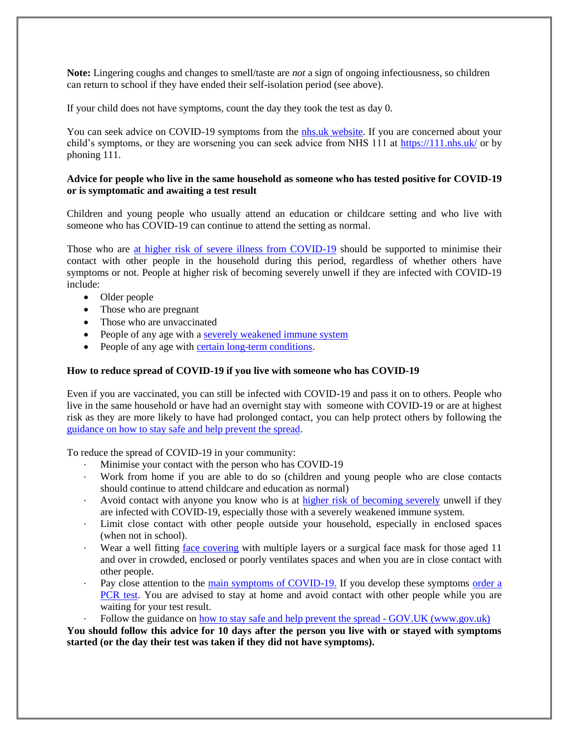**Note:** Lingering coughs and changes to smell/taste are *not* a sign of ongoing infectiousness, so children can return to school if they have ended their self-isolation period (see above).

If your child does not have symptoms, count the day they took the test as day 0.

You can seek advice on COVID-19 symptoms from the [nhs.uk website.](https://www.nhs.uk/conditions/coronavirus-covid-19/check-if-you-have-coronavirus-symptoms/) If you are concerned about your child's symptoms, or they are worsening you can seek advice from NHS 111 at<https://111.nhs.uk/> or by phoning 111.

### **Advice for people who live in the same household as someone who has tested positive for COVID-19 or is symptomatic and awaiting a test result**

Children and young people who usually attend an education or childcare setting and who live with someone who has COVID-19 can continue to attend the setting as normal.

Those who are [at higher risk of severe illness from COVID-19](https://www.gov.uk/government/publications/guidance-on-shielding-and-protecting-extremely-vulnerable-persons-from-covid-19/guidance-on-shielding-and-protecting-extremely-vulnerable-persons-from-covid-19) should be supported to minimise their contact with other people in the household during this period, regardless of whether others have symptoms or not. People at higher risk of becoming severely unwell if they are infected with COVID-19 include:

- Older people
- Those who are pregnant
- Those who are unvaccinated
- People of any age with a [severely weakened immune system](https://www.gov.uk/government/publications/covid-19-guidance-for-people-whose-immune-system-means-they-are-at-higher-risk)
- People of any age with [certain long-term conditions.](https://www.nhs.uk/conditions/coronavirus-covid-19/people-at-higher-risk/who-is-at-high-risk-from-coronavirus/)

#### **How to reduce spread of COVID-19 if you live with someone who has COVID-19**

Even if you are vaccinated, you can still be infected with COVID-19 and pass it on to others. People who live in the same household or have had an overnight stay with someone with COVID-19 or are at highest risk as they are more likely to have had prolonged contact, you can help protect others by following the [guidance on how to stay safe and help prevent the spread.](https://www.gov.uk/guidance/covid-19-coronavirus-restrictions-what-you-can-and-cannot-do#keeping-yourself-and-others-safe)

To reduce the spread of COVID-19 in your community:

- Minimise your contact with the person who has COVID-19
- · Work from home if you are able to do so (children and young people who are close contacts should continue to attend childcare and education as normal)
- Avoid contact with anyone you know who is at [higher risk of becoming severely](https://www.gov.uk/government/publications/covid-19-people-with-covid-19-and-their-contacts/covid-19-people-with-covid-19-and-their-contacts#higherrisk) unwell if they are infected with COVID-19, especially those with a severely weakened immune system.
- Limit close contact with other people outside your household, especially in enclosed spaces (when not in school).
- Wear a well fitting [face covering](https://www.gov.uk/government/publications/face-coverings-when-to-wear-one-and-how-to-make-your-own) with multiple layers or a surgical face mask for those aged 11 and over in crowded, enclosed or poorly ventilates spaces and when you are in close contact with other people.
- Pay close attention to the [main symptoms of COVID-19.](https://www.gov.uk/government/publications/covid-19-people-with-covid-19-and-their-contacts/covid-19-people-with-covid-19-and-their-contacts#symptoms) If you develop these symptoms order a [PCR test.](https://www.gov.uk/get-coronavirus-test) You are advised to stay at home and avoid contact with other people while you are waiting for your test result.
- Follow the guidance on [how to stay safe and help prevent the spread -](https://www.gov.uk/guidance/covid-19-coronavirus-restrictions-what-you-can-and-cannot-do#keeping-yourself-and-others-safe) GOV.UK (www.gov.uk)

**You should follow this advice for 10 days after the person you live with or stayed with symptoms started (or the day their test was taken if they did not have symptoms).**